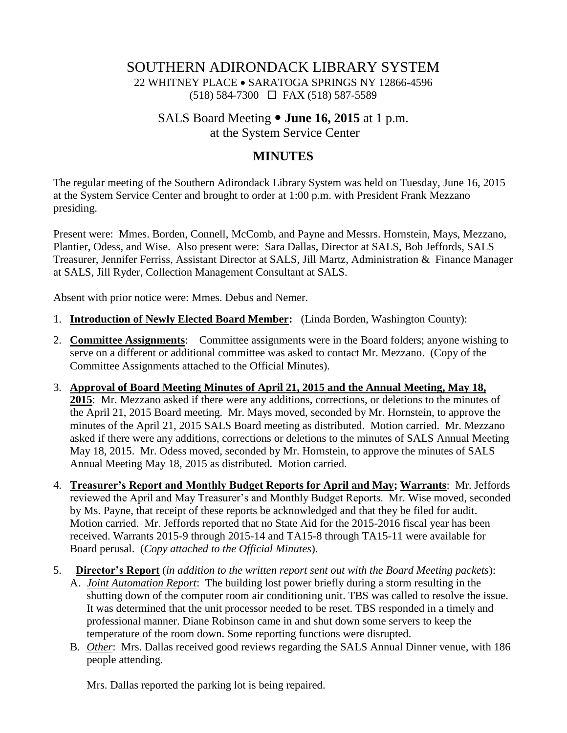# SOUTHERN ADIRONDACK LIBRARY SYSTEM 22 WHITNEY PLACE SARATOGA SPRINGS NY 12866-4596 (518) 584-7300 FAX (518) 587-5589

# SALS Board Meeting **June 16, 2015** at 1 p.m. at the System Service Center

# **MINUTES**

The regular meeting of the Southern Adirondack Library System was held on Tuesday, June 16, 2015 at the System Service Center and brought to order at 1:00 p.m. with President Frank Mezzano presiding.

Present were: Mmes. Borden, Connell, McComb, and Payne and Messrs. Hornstein, Mays, Mezzano, Plantier, Odess, and Wise. Also present were: Sara Dallas, Director at SALS, Bob Jeffords, SALS Treasurer, Jennifer Ferriss, Assistant Director at SALS, Jill Martz, Administration & Finance Manager at SALS, Jill Ryder, Collection Management Consultant at SALS.

Absent with prior notice were: Mmes. Debus and Nemer.

- 1. **Introduction of Newly Elected Board Member:** (Linda Borden, Washington County):
- 2. **Committee Assignments**: Committee assignments were in the Board folders; anyone wishing to serve on a different or additional committee was asked to contact Mr. Mezzano. (Copy of the Committee Assignments attached to the Official Minutes).
- 3. **Approval of Board Meeting Minutes of April 21, 2015 and the Annual Meeting, May 18, 2015**: Mr. Mezzano asked if there were any additions, corrections, or deletions to the minutes of the April 21, 2015 Board meeting. Mr. Mays moved, seconded by Mr. Hornstein, to approve the minutes of the April 21, 2015 SALS Board meeting as distributed. Motion carried. Mr. Mezzano asked if there were any additions, corrections or deletions to the minutes of SALS Annual Meeting May 18, 2015. Mr. Odess moved, seconded by Mr. Hornstein, to approve the minutes of SALS Annual Meeting May 18, 2015 as distributed. Motion carried.
- 4. **Treasurer's Report and Monthly Budget Reports for April and May; Warrants**: Mr. Jeffords reviewed the April and May Treasurer's and Monthly Budget Reports. Mr. Wise moved, seconded by Ms. Payne, that receipt of these reports be acknowledged and that they be filed for audit. Motion carried. Mr. Jeffords reported that no State Aid for the 2015-2016 fiscal year has been received. Warrants 2015-9 through 2015-14 and TA15-8 through TA15-11 were available for Board perusal. (*Copy attached to the Official Minutes*).
- 5. **Director's Report** (*in addition to the written report sent out with the Board Meeting packets*):
	- A. *Joint Automation Report*: The building lost power briefly during a storm resulting in the shutting down of the computer room air conditioning unit. TBS was called to resolve the issue. It was determined that the unit processor needed to be reset. TBS responded in a timely and professional manner. Diane Robinson came in and shut down some servers to keep the temperature of the room down. Some reporting functions were disrupted.
	- B. *Other*: Mrs. Dallas received good reviews regarding the SALS Annual Dinner venue, with 186 people attending.

Mrs. Dallas reported the parking lot is being repaired.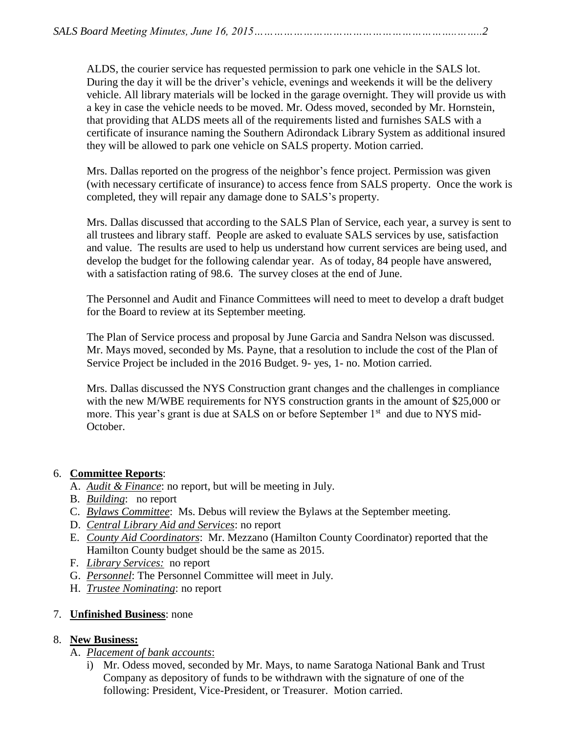ALDS, the courier service has requested permission to park one vehicle in the SALS lot. During the day it will be the driver's vehicle, evenings and weekends it will be the delivery vehicle. All library materials will be locked in the garage overnight. They will provide us with a key in case the vehicle needs to be moved. Mr. Odess moved, seconded by Mr. Hornstein, that providing that ALDS meets all of the requirements listed and furnishes SALS with a certificate of insurance naming the Southern Adirondack Library System as additional insured they will be allowed to park one vehicle on SALS property. Motion carried.

Mrs. Dallas reported on the progress of the neighbor's fence project. Permission was given (with necessary certificate of insurance) to access fence from SALS property. Once the work is completed, they will repair any damage done to SALS's property.

Mrs. Dallas discussed that according to the SALS Plan of Service, each year, a survey is sent to all trustees and library staff. People are asked to evaluate SALS services by use, satisfaction and value. The results are used to help us understand how current services are being used, and develop the budget for the following calendar year. As of today, 84 people have answered, with a satisfaction rating of 98.6. The survey closes at the end of June.

The Personnel and Audit and Finance Committees will need to meet to develop a draft budget for the Board to review at its September meeting.

The Plan of Service process and proposal by June Garcia and Sandra Nelson was discussed. Mr. Mays moved, seconded by Ms. Payne, that a resolution to include the cost of the Plan of Service Project be included in the 2016 Budget. 9- yes, 1- no. Motion carried.

Mrs. Dallas discussed the NYS Construction grant changes and the challenges in compliance with the new M/WBE requirements for NYS construction grants in the amount of \$25,000 or more. This year's grant is due at SALS on or before September 1<sup>st</sup> and due to NYS mid-October.

### 6. **Committee Reports**:

- A. *Audit & Finance*: no report, but will be meeting in July.
- B. *Building*: no report
- C. *Bylaws Committee*: Ms. Debus will review the Bylaws at the September meeting.
- D. *Central Library Aid and Services*: no report
- E. *County Aid Coordinators*: Mr. Mezzano (Hamilton County Coordinator) reported that the Hamilton County budget should be the same as 2015.
- F. *Library Services:* no report
- G. *Personnel*: The Personnel Committee will meet in July.
- H. *Trustee Nominating*: no report

## 7. **Unfinished Business**: none

## 8. **New Business:**

- A. *Placement of bank accounts*:
	- i) Mr. Odess moved, seconded by Mr. Mays, to name Saratoga National Bank and Trust Company as depository of funds to be withdrawn with the signature of one of the following: President, Vice-President, or Treasurer. Motion carried.